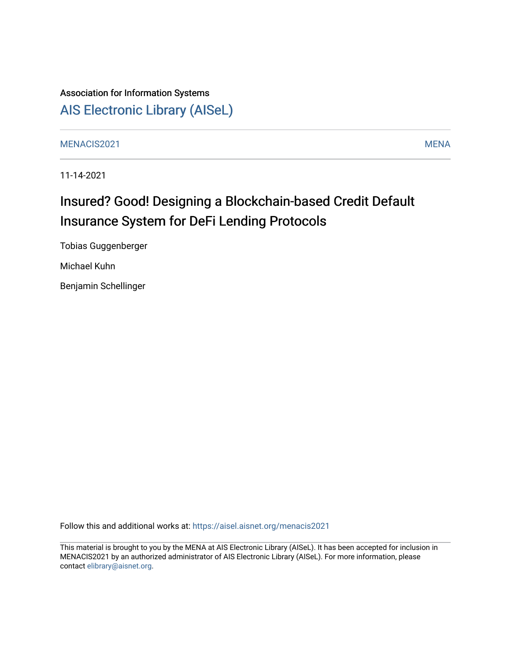# Association for Information Systems [AIS Electronic Library \(AISeL\)](https://aisel.aisnet.org/)

[MENACIS2021](https://aisel.aisnet.org/menacis2021) [MENA](https://aisel.aisnet.org/mena) 

11-14-2021

# Insured? Good! Designing a Blockchain-based Credit Default Insurance System for DeFi Lending Protocols

Tobias Guggenberger

Michael Kuhn

Benjamin Schellinger

Follow this and additional works at: [https://aisel.aisnet.org/menacis2021](https://aisel.aisnet.org/menacis2021?utm_source=aisel.aisnet.org%2Fmenacis2021%2F8&utm_medium=PDF&utm_campaign=PDFCoverPages)

This material is brought to you by the MENA at AIS Electronic Library (AISeL). It has been accepted for inclusion in MENACIS2021 by an authorized administrator of AIS Electronic Library (AISeL). For more information, please contact [elibrary@aisnet.org.](mailto:elibrary@aisnet.org%3E)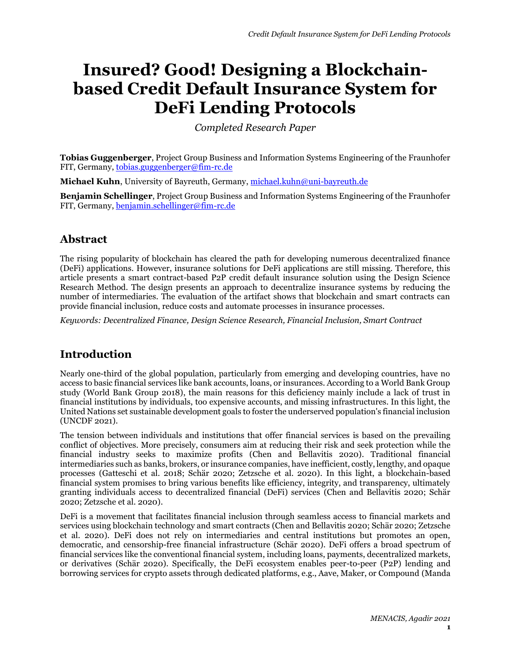# **Insured? Good! Designing a Blockchainbased Credit Default Insurance System for DeFi Lending Protocols**

*Completed Research Paper*

**Tobias Guggenberger**, Project Group Business and Information Systems Engineering of the Fraunhofer FIT, Germany, [tobias.guggenberger@fim-rc.de](mailto:tobias.guggenberger@fim-rc.de)

**Michael Kuhn**, University of Bayreuth, Germany, [michael.kuhn@uni-bayreuth.de](mailto:michael.kuhn@uni-bayreuth.de)

**Benjamin Schellinger**, Project Group Business and Information Systems Engineering of the Fraunhofer FIT, Germany, [benjamin.schellinger@fim-rc.de](mailto:benjamin.schellinger@fim-rc.de)

## **Abstract**

The rising popularity of blockchain has cleared the path for developing numerous decentralized finance (DeFi) applications. However, insurance solutions for DeFi applications are still missing. Therefore, this article presents a smart contract-based P2P credit default insurance solution using the Design Science Research Method. The design presents an approach to decentralize insurance systems by reducing the number of intermediaries. The evaluation of the artifact shows that blockchain and smart contracts can provide financial inclusion, reduce costs and automate processes in insurance processes.

*Keywords: Decentralized Finance, Design Science Research, Financial Inclusion, Smart Contract*

## **Introduction**

Nearly one-third of the global population, particularly from emerging and developing countries, have no access to basic financial services like bank accounts, loans, or insurances. According to a World Bank Group study (World Bank Group 2018), the main reasons for this deficiency mainly include a lack of trust in financial institutions by individuals, too expensive accounts, and missing infrastructures. In this light, the United Nations set sustainable development goals to foster the underserved population's financial inclusion (UNCDF 2021).

The tension between individuals and institutions that offer financial services is based on the prevailing conflict of objectives. More precisely, consumers aim at reducing their risk and seek protection while the financial industry seeks to maximize profits (Chen and Bellavitis 2020). Traditional financial intermediaries such as banks, brokers, or insurance companies, have inefficient, costly, lengthy, and opaque processes (Gatteschi et al. 2018; Schär 2020; Zetzsche et al. 2020). In this light, a blockchain-based financial system promises to bring various benefits like efficiency, integrity, and transparency, ultimately granting individuals access to decentralized financial (DeFi) services (Chen and Bellavitis 2020; Schär 2020; Zetzsche et al. 2020).

DeFi is a movement that facilitates financial inclusion through seamless access to financial markets and services using blockchain technology and smart contracts (Chen and Bellavitis 2020; Schär 2020; Zetzsche et al. 2020). DeFi does not rely on intermediaries and central institutions but promotes an open, democratic, and censorship-free financial infrastructure (Schär 2020). DeFi offers a broad spectrum of financial services like the conventional financial system, including loans, payments, decentralized markets, or derivatives (Schär 2020). Specifically, the DeFi ecosystem enables peer-to-peer (P2P) lending and borrowing services for crypto assets through dedicated platforms, e.g., Aave, Maker, or Compound (Manda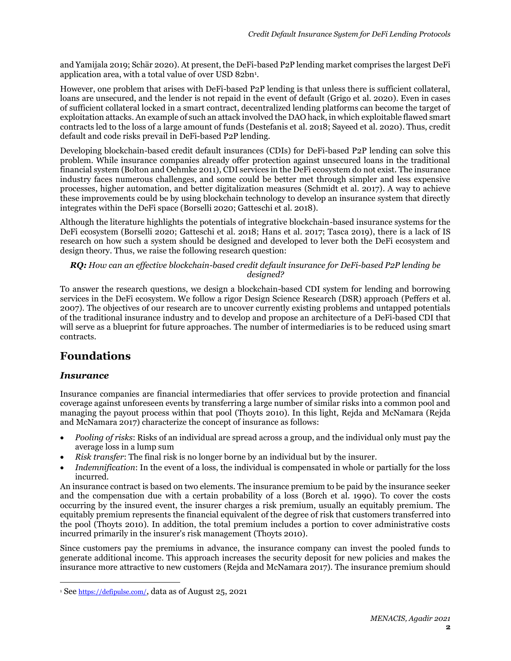and Yamijala 2019; Schär 2020). At present, the DeFi-based P2P lending market comprises the largest DeFi application area, with a total value of over USD 82bn<sup>1</sup>.

However, one problem that arises with DeFi-based P2P lending is that unless there is sufficient collateral, loans are unsecured, and the lender is not repaid in the event of default (Grigo et al. 2020). Even in cases of sufficient collateral locked in a smart contract, decentralized lending platforms can become the target of exploitation attacks. An example of such an attack involved the DAO hack, in which exploitable flawed smart contracts led to the loss of a large amount of funds (Destefanis et al. 2018; Sayeed et al. 2020). Thus, credit default and code risks prevail in DeFi-based P2P lending.

Developing blockchain-based credit default insurances (CDIs) for DeFi-based P2P lending can solve this problem. While insurance companies already offer protection against unsecured loans in the traditional financial system (Bolton and Oehmke 2011), CDI services in the DeFi ecosystem do not exist. The insurance industry faces numerous challenges, and some could be better met through simpler and less expensive processes, higher automation, and better digitalization measures (Schmidt et al. 2017). A way to achieve these improvements could be by using blockchain technology to develop an insurance system that directly integrates within the DeFi space (Borselli 2020; Gatteschi et al. 2018).

Although the literature highlights the potentials of integrative blockchain-based insurance systems for the DeFi ecosystem (Borselli 2020; Gatteschi et al. 2018; Hans et al. 2017; Tasca 2019), there is a lack of IS research on how such a system should be designed and developed to lever both the DeFi ecosystem and design theory. Thus, we raise the following research question:

#### *RQ: How can an effective blockchain-based credit default insurance for DeFi-based P2P lending be designed?*

To answer the research questions, we design a blockchain-based CDI system for lending and borrowing services in the DeFi ecosystem. We follow a rigor Design Science Research (DSR) approach (Peffers et al. 2007). The objectives of our research are to uncover currently existing problems and untapped potentials of the traditional insurance industry and to develop and propose an architecture of a DeFi-based CDI that will serve as a blueprint for future approaches. The number of intermediaries is to be reduced using smart contracts.

## **Foundations**

### *Insurance*

Insurance companies are financial intermediaries that offer services to provide protection and financial coverage against unforeseen events by transferring a large number of similar risks into a common pool and managing the payout process within that pool (Thoyts 2010). In this light, Rejda and McNamara (Rejda and McNamara 2017) characterize the concept of insurance as follows:

- *Pooling of risks*: Risks of an individual are spread across a group, and the individual only must pay the average loss in a lump sum
- *Risk transfer*: The final risk is no longer borne by an individual but by the insurer.
- *Indemnification*: In the event of a loss, the individual is compensated in whole or partially for the loss incurred.

An insurance contract is based on two elements. The insurance premium to be paid by the insurance seeker and the compensation due with a certain probability of a loss (Borch et al. 1990). To cover the costs occurring by the insured event, the insurer charges a risk premium, usually an equitably premium. The equitably premium represents the financial equivalent of the degree of risk that customers transferred into the pool (Thoyts 2010). In addition, the total premium includes a portion to cover administrative costs incurred primarily in the insurer's risk management (Thoyts 2010).

Since customers pay the premiums in advance, the insurance company can invest the pooled funds to generate additional income. This approach increases the security deposit for new policies and makes the insurance more attractive to new customers (Rejda and McNamara 2017). The insurance premium should

<sup>&</sup>lt;sup>1</sup> See <https://defipulse.com/>, data as of August 25, 2021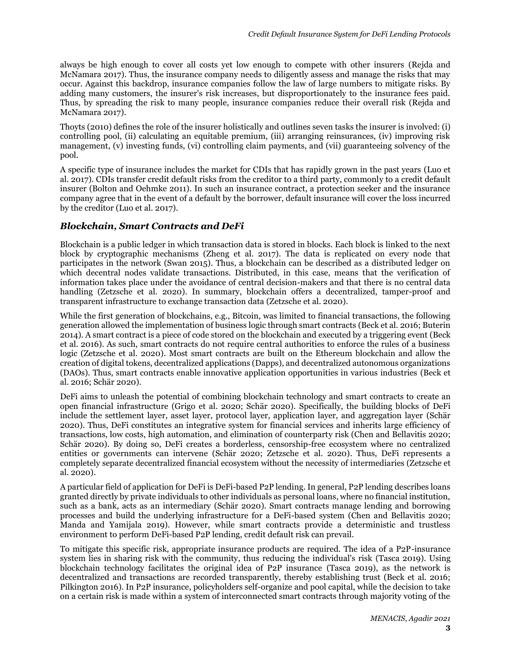always be high enough to cover all costs yet low enough to compete with other insurers (Rejda and McNamara 2017). Thus, the insurance company needs to diligently assess and manage the risks that may occur. Against this backdrop, insurance companies follow the law of large numbers to mitigate risks. By adding many customers, the insurer's risk increases, but disproportionately to the insurance fees paid. Thus, by spreading the risk to many people, insurance companies reduce their overall risk (Rejda and McNamara 2017).

Thoyts (2010) defines the role of the insurer holistically and outlines seven tasks the insurer is involved: (i) controlling pool, (ii) calculating an equitable premium, (iii) arranging reinsurances, (iv) improving risk management, (v) investing funds, (vi) controlling claim payments, and (vii) guaranteeing solvency of the pool.

A specific type of insurance includes the market for CDIs that has rapidly grown in the past years (Luo et al. 2017). CDIs transfer credit default risks from the creditor to a third party, commonly to a credit default insurer (Bolton and Oehmke 2011). In such an insurance contract, a protection seeker and the insurance company agree that in the event of a default by the borrower, default insurance will cover the loss incurred by the creditor (Luo et al. 2017).

## *Blockchain, Smart Contracts and DeFi*

Blockchain is a public ledger in which transaction data is stored in blocks. Each block is linked to the next block by cryptographic mechanisms (Zheng et al. 2017). The data is replicated on every node that participates in the network (Swan 2015). Thus, a blockchain can be described as a distributed ledger on which decentral nodes validate transactions. Distributed, in this case, means that the verification of information takes place under the avoidance of central decision-makers and that there is no central data handling (Zetzsche et al. 2020). In summary, blockchain offers a decentralized, tamper-proof and transparent infrastructure to exchange transaction data (Zetzsche et al. 2020).

While the first generation of blockchains, e.g., Bitcoin, was limited to financial transactions, the following generation allowed the implementation of business logic through smart contracts (Beck et al. 2016; Buterin 2014). A smart contract is a piece of code stored on the blockchain and executed by a triggering event (Beck et al. 2016). As such, smart contracts do not require central authorities to enforce the rules of a business logic (Zetzsche et al. 2020). Most smart contracts are built on the Ethereum blockchain and allow the creation of digital tokens, decentralized applications (Dapps), and decentralized autonomous organizations (DAOs). Thus, smart contracts enable innovative application opportunities in various industries (Beck et al. 2016; Schär 2020).

DeFi aims to unleash the potential of combining blockchain technology and smart contracts to create an open financial infrastructure (Grigo et al. 2020; Schär 2020). Specifically, the building blocks of DeFi include the settlement layer, asset layer, protocol layer, application layer, and aggregation layer (Schär 2020). Thus, DeFi constitutes an integrative system for financial services and inherits large efficiency of transactions, low costs, high automation, and elimination of counterparty risk (Chen and Bellavitis 2020; Schär 2020). By doing so, DeFi creates a borderless, censorship-free ecosystem where no centralized entities or governments can intervene (Schär 2020; Zetzsche et al. 2020). Thus, DeFi represents a completely separate decentralized financial ecosystem without the necessity of intermediaries (Zetzsche et al. 2020).

A particular field of application for DeFi is DeFi-based P2P lending. In general, P2P lending describes loans granted directly by private individuals to other individuals as personal loans, where no financial institution, such as a bank, acts as an intermediary (Schär 2020). Smart contracts manage lending and borrowing processes and build the underlying infrastructure for a DeFi-based system (Chen and Bellavitis 2020; Manda and Yamijala 2019). However, while smart contracts provide a deterministic and trustless environment to perform DeFi-based P2P lending, credit default risk can prevail.

To mitigate this specific risk, appropriate insurance products are required. The idea of a P2P-insurance system lies in sharing risk with the community, thus reducing the individual's risk (Tasca 2019). Using blockchain technology facilitates the original idea of P2P insurance (Tasca 2019), as the network is decentralized and transactions are recorded transparently, thereby establishing trust (Beck et al. 2016; Pilkington 2016). In P2P insurance, policyholders self-organize and pool capital, while the decision to take on a certain risk is made within a system of interconnected smart contracts through majority voting of the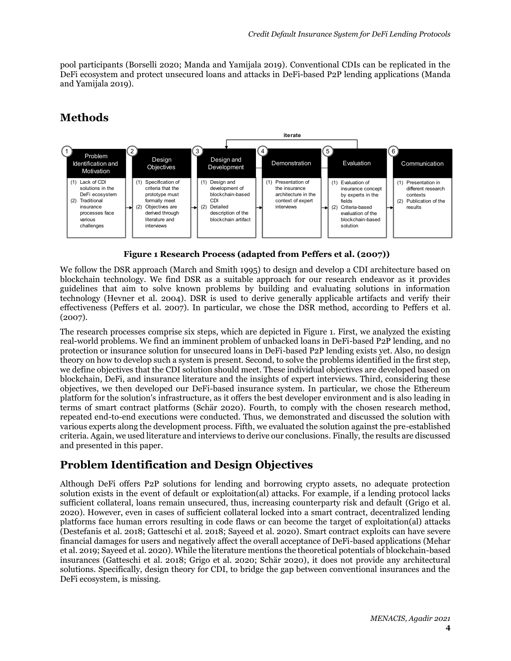pool participants (Borselli 2020; Manda and Yamijala 2019). Conventional CDIs can be replicated in the DeFi ecosystem and protect unsecured loans and attacks in DeFi-based P2P lending applications (Manda and Yamijala 2019).

# **Methods**



**Figure 1 Research Process (adapted from Peffers et al. (2007))**

We follow the DSR approach (March and Smith 1995) to design and develop a CDI architecture based on blockchain technology. We find DSR as a suitable approach for our research endeavor as it provides guidelines that aim to solve known problems by building and evaluating solutions in information technology (Hevner et al. 2004). DSR is used to derive generally applicable artifacts and verify their effectiveness (Peffers et al. 2007). In particular, we chose the DSR method, according to Peffers et al. (2007).

The research processes comprise six steps, which are depicted in Figure 1. First, we analyzed the existing real-world problems. We find an imminent problem of unbacked loans in DeFi-based P2P lending, and no protection or insurance solution for unsecured loans in DeFi-based P2P lending exists yet. Also, no design theory on how to develop such a system is present. Second, to solve the problems identified in the first step, we define objectives that the CDI solution should meet. These individual objectives are developed based on blockchain, DeFi, and insurance literature and the insights of expert interviews. Third, considering these objectives, we then developed our DeFi-based insurance system. In particular, we chose the Ethereum platform for the solution's infrastructure, as it offers the best developer environment and is also leading in terms of smart contract platforms (Schär 2020). Fourth, to comply with the chosen research method, repeated end-to-end executions were conducted. Thus, we demonstrated and discussed the solution with various experts along the development process. Fifth, we evaluated the solution against the pre-established criteria. Again, we used literature and interviews to derive our conclusions. Finally, the results are discussed and presented in this paper.

## **Problem Identification and Design Objectives**

Although DeFi offers P2P solutions for lending and borrowing crypto assets, no adequate protection solution exists in the event of default or exploitation(al) attacks. For example, if a lending protocol lacks sufficient collateral, loans remain unsecured, thus, increasing counterparty risk and default (Grigo et al. 2020). However, even in cases of sufficient collateral locked into a smart contract, decentralized lending platforms face human errors resulting in code flaws or can become the target of exploitation(al) attacks (Destefanis et al. 2018; Gatteschi et al. 2018; Sayeed et al. 2020). Smart contract exploits can have severe financial damages for users and negatively affect the overall acceptance of DeFi-based applications (Mehar et al. 2019; Sayeed et al. 2020). While the literature mentions the theoretical potentials of blockchain-based insurances (Gatteschi et al. 2018; Grigo et al. 2020; Schär 2020), it does not provide any architectural solutions. Specifically, design theory for CDI, to bridge the gap between conventional insurances and the DeFi ecosystem, is missing.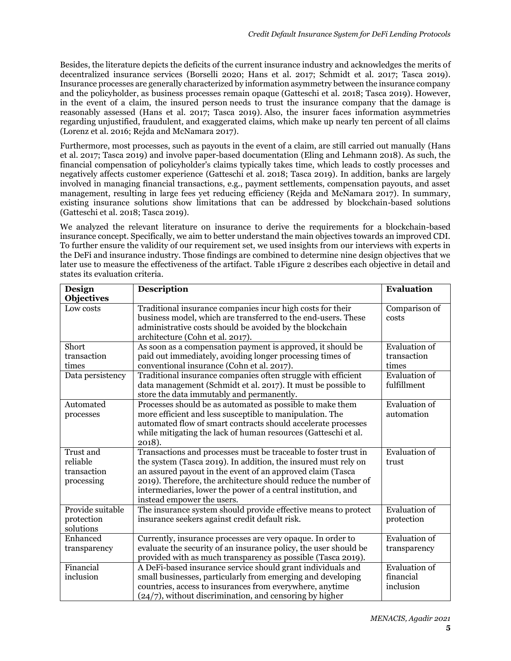Besides, the literature depicts the deficits of the current insurance industry and acknowledges the merits of decentralized insurance services (Borselli 2020; Hans et al. 2017; Schmidt et al. 2017; Tasca 2019). Insurance processes are generally characterized by information asymmetry between the insurance company and the policyholder, as business processes remain opaque (Gatteschi et al. 2018; Tasca 2019). However, in the event of a claim, the insured person needs to trust the insurance company that the damage is reasonably assessed (Hans et al. 2017; Tasca 2019). Also, the insurer faces information asymmetries regarding unjustified, fraudulent, and exaggerated claims, which make up nearly ten percent of all claims (Lorenz et al. 2016; Rejda and McNamara 2017).

Furthermore, most processes, such as payouts in the event of a claim, are still carried out manually (Hans et al. 2017; Tasca 2019) and involve paper-based documentation (Eling and Lehmann 2018). As such, the financial compensation of policyholder's claims typically takes time, which leads to costly processes and negatively affects customer experience (Gatteschi et al. 2018; Tasca 2019). In addition, banks are largely involved in managing financial transactions, e.g., payment settlements, compensation payouts, and asset management, resulting in large fees yet reducing efficiency (Rejda and McNamara 2017). In summary, existing insurance solutions show limitations that can be addressed by blockchain-based solutions (Gatteschi et al. 2018; Tasca 2019).

We analyzed the relevant literature on insurance to derive the requirements for a blockchain-based insurance concept. Specifically, we aim to better understand the main objectives towards an improved CDI. To further ensure the validity of our requirement set, we used insights from our interviews with experts in the DeFi and insurance industry. Those findings are combined to determine nine design objectives that we later use to measure the effectiveness of the artifact. [Table 1](#page-6-0)[Figure 2](#page-7-0) describes each objective in detail and states its evaluation criteria.

| <b>Design</b>                                      | <b>Description</b>                                                                                                                                                                                                                                                                                                                                               | <b>Evaluation</b>                              |
|----------------------------------------------------|------------------------------------------------------------------------------------------------------------------------------------------------------------------------------------------------------------------------------------------------------------------------------------------------------------------------------------------------------------------|------------------------------------------------|
| <b>Objectives</b>                                  |                                                                                                                                                                                                                                                                                                                                                                  |                                                |
| Low costs                                          | Traditional insurance companies incur high costs for their<br>business model, which are transferred to the end-users. These<br>administrative costs should be avoided by the blockchain<br>architecture (Cohn et al. 2017).                                                                                                                                      | Comparison of<br>costs                         |
| Short<br>transaction<br>times                      | As soon as a compensation payment is approved, it should be<br>paid out immediately, avoiding longer processing times of<br>conventional insurance (Cohn et al. 2017).                                                                                                                                                                                           | <b>Evaluation</b> of<br>transaction<br>times   |
| Data persistency                                   | Traditional insurance companies often struggle with efficient<br>data management (Schmidt et al. 2017). It must be possible to<br>store the data immutably and permanently.                                                                                                                                                                                      | <b>Evaluation</b> of<br>fulfillment            |
| Automated<br>processes                             | Processes should be as automated as possible to make them<br>more efficient and less susceptible to manipulation. The<br>automated flow of smart contracts should accelerate processes<br>while mitigating the lack of human resources (Gatteschi et al.<br>2018).                                                                                               | <b>Evaluation</b> of<br>automation             |
| Trust and<br>reliable<br>transaction<br>processing | Transactions and processes must be traceable to foster trust in<br>the system (Tasca 2019). In addition, the insured must rely on<br>an assured payout in the event of an approved claim (Tasca<br>2019). Therefore, the architecture should reduce the number of<br>intermediaries, lower the power of a central institution, and<br>instead empower the users. | <b>Evaluation</b> of<br>trust                  |
| Provide suitable<br>protection<br>solutions        | The insurance system should provide effective means to protect<br>insurance seekers against credit default risk.                                                                                                                                                                                                                                                 | <b>Evaluation</b> of<br>protection             |
| Enhanced<br>transparency                           | Currently, insurance processes are very opaque. In order to<br>evaluate the security of an insurance policy, the user should be<br>provided with as much transparency as possible (Tasca 2019).                                                                                                                                                                  | <b>Evaluation</b> of<br>transparency           |
| Financial<br>inclusion                             | A DeFi-based insurance service should grant individuals and<br>small businesses, particularly from emerging and developing<br>countries, access to insurances from everywhere, anytime<br>$(24/7)$ , without discrimination, and censoring by higher                                                                                                             | <b>Evaluation</b> of<br>financial<br>inclusion |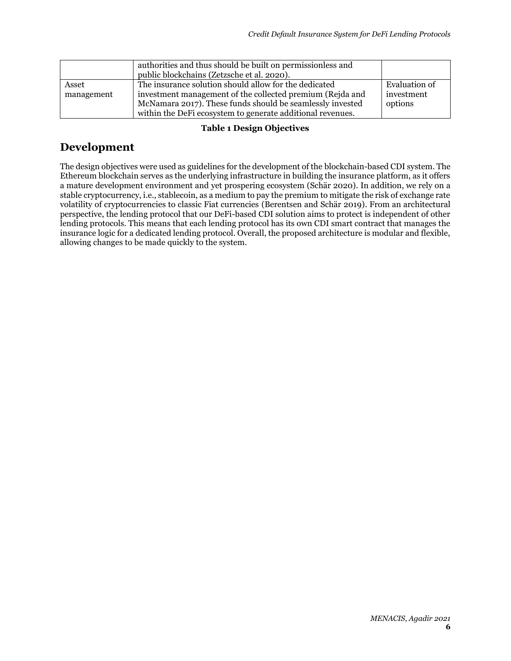|                     | authorities and thus should be built on permissionless and<br>public blockchains (Zetzsche et al. 2020).                                                                                                                                      |                                        |
|---------------------|-----------------------------------------------------------------------------------------------------------------------------------------------------------------------------------------------------------------------------------------------|----------------------------------------|
| Asset<br>management | The insurance solution should allow for the dedicated<br>investment management of the collected premium (Rejda and<br>McNamara 2017). These funds should be seamlessly invested<br>within the DeFi ecosystem to generate additional revenues. | Evaluation of<br>investment<br>options |

#### **Table 1 Design Objectives**

## <span id="page-6-0"></span>**Development**

The design objectives were used as guidelines for the development of the blockchain-based CDI system. The Ethereum blockchain serves as the underlying infrastructure in building the insurance platform, as it offers a mature development environment and yet prospering ecosystem (Schär 2020). In addition, we rely on a stable cryptocurrency, i.e., stablecoin, as a medium to pay the premium to mitigate the risk of exchange rate volatility of cryptocurrencies to classic Fiat currencies (Berentsen and Schär 2019). From an architectural perspective, the lending protocol that our DeFi-based CDI solution aims to protect is independent of other lending protocols. This means that each lending protocol has its own CDI smart contract that manages the insurance logic for a dedicated lending protocol. Overall, the proposed architecture is modular and flexible, allowing changes to be made quickly to the system.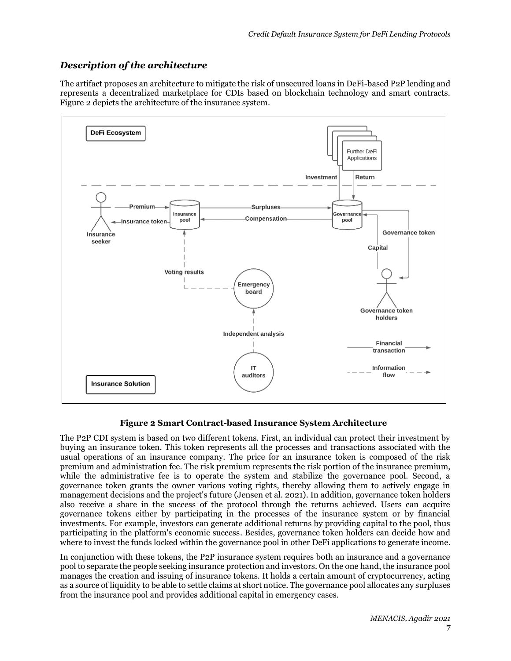## *Description of the architecture*

The artifact proposes an architecture to mitigate the risk of unsecured loans in DeFi-based P2P lending and represents a decentralized marketplace for CDIs based on blockchain technology and smart contracts. [Figure 2](#page-7-0) depicts the architecture of the insurance system.



#### **Figure 2 Smart Contract-based Insurance System Architecture**

<span id="page-7-0"></span>The P2P CDI system is based on two different tokens. First, an individual can protect their investment by buying an insurance token. This token represents all the processes and transactions associated with the usual operations of an insurance company. The price for an insurance token is composed of the risk premium and administration fee. The risk premium represents the risk portion of the insurance premium, while the administrative fee is to operate the system and stabilize the governance pool. Second, a governance token grants the owner various voting rights, thereby allowing them to actively engage in management decisions and the project's future (Jensen et al. 2021). In addition, governance token holders also receive a share in the success of the protocol through the returns achieved. Users can acquire governance tokens either by participating in the processes of the insurance system or by financial investments. For example, investors can generate additional returns by providing capital to the pool, thus participating in the platform's economic success. Besides, governance token holders can decide how and where to invest the funds locked within the governance pool in other DeFi applications to generate income.

In conjunction with these tokens, the P2P insurance system requires both an insurance and a governance pool to separate the people seeking insurance protection and investors. On the one hand, the insurance pool manages the creation and issuing of insurance tokens. It holds a certain amount of cryptocurrency, acting as a source of liquidity to be able to settle claims at short notice. The governance pool allocates any surpluses from the insurance pool and provides additional capital in emergency cases.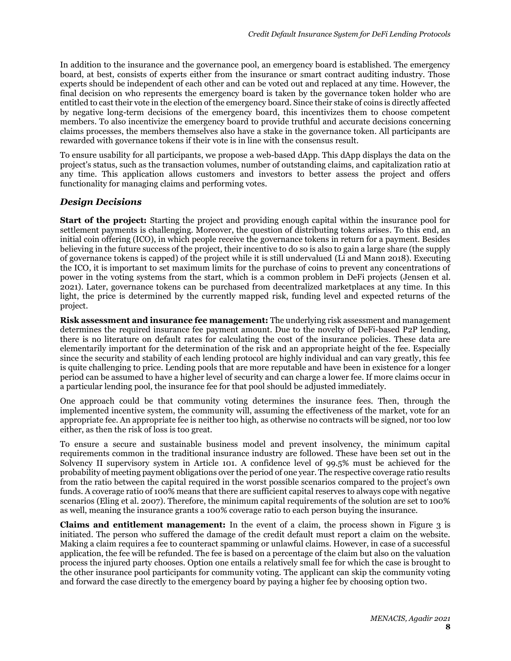In addition to the insurance and the governance pool, an emergency board is established. The emergency board, at best, consists of experts either from the insurance or smart contract auditing industry. Those experts should be independent of each other and can be voted out and replaced at any time. However, the final decision on who represents the emergency board is taken by the governance token holder who are entitled to cast their vote in the election of the emergency board. Since their stake of coins is directly affected by negative long-term decisions of the emergency board, this incentivizes them to choose competent members. To also incentivize the emergency board to provide truthful and accurate decisions concerning claims processes, the members themselves also have a stake in the governance token. All participants are rewarded with governance tokens if their vote is in line with the consensus result.

To ensure usability for all participants, we propose a web-based dApp. This dApp displays the data on the project's status, such as the transaction volumes, number of outstanding claims, and capitalization ratio at any time. This application allows customers and investors to better assess the project and offers functionality for managing claims and performing votes.

### *Design Decisions*

**Start of the project:** Starting the project and providing enough capital within the insurance pool for settlement payments is challenging. Moreover, the question of distributing tokens arises. To this end, an initial coin offering (ICO), in which people receive the governance tokens in return for a payment. Besides believing in the future success of the project, their incentive to do so is also to gain a large share (the supply of governance tokens is capped) of the project while it is still undervalued (Li and Mann 2018). Executing the ICO, it is important to set maximum limits for the purchase of coins to prevent any concentrations of power in the voting systems from the start, which is a common problem in DeFi projects (Jensen et al. 2021). Later, governance tokens can be purchased from decentralized marketplaces at any time. In this light, the price is determined by the currently mapped risk, funding level and expected returns of the project.

**Risk assessment and insurance fee management:** The underlying risk assessment and management determines the required insurance fee payment amount. Due to the novelty of DeFi-based P2P lending, there is no literature on default rates for calculating the cost of the insurance policies. These data are elementarily important for the determination of the risk and an appropriate height of the fee. Especially since the security and stability of each lending protocol are highly individual and can vary greatly, this fee is quite challenging to price. Lending pools that are more reputable and have been in existence for a longer period can be assumed to have a higher level of security and can charge a lower fee. If more claims occur in a particular lending pool, the insurance fee for that pool should be adjusted immediately.

One approach could be that community voting determines the insurance fees. Then, through the implemented incentive system, the community will, assuming the effectiveness of the market, vote for an appropriate fee. An appropriate fee is neither too high, as otherwise no contracts will be signed, nor too low either, as then the risk of loss is too great.

To ensure a secure and sustainable business model and prevent insolvency, the minimum capital requirements common in the traditional insurance industry are followed. These have been set out in the Solvency II supervisory system in Article 101. A confidence level of 99.5% must be achieved for the probability of meeting payment obligations over the period of one year. The respective coverage ratio results from the ratio between the capital required in the worst possible scenarios compared to the project's own funds. A coverage ratio of 100% means that there are sufficient capital reserves to always cope with negative scenarios (Eling et al. 2007). Therefore, the minimum capital requirements of the solution are set to 100% as well, meaning the insurance grants a 100% coverage ratio to each person buying the insurance.

**Claims and entitlement management:** In the event of a claim, the process shown in [Figure 3](#page-9-0) is initiated. The person who suffered the damage of the credit default must report a claim on the website. Making a claim requires a fee to counteract spamming or unlawful claims. However, in case of a successful application, the fee will be refunded. The fee is based on a percentage of the claim but also on the valuation process the injured party chooses. Option one entails a relatively small fee for which the case is brought to the other insurance pool participants for community voting. The applicant can skip the community voting and forward the case directly to the emergency board by paying a higher fee by choosing option two.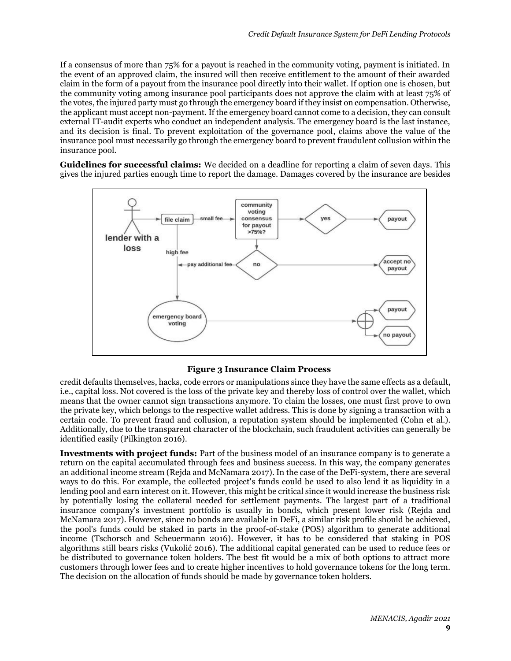If a consensus of more than 75% for a payout is reached in the community voting, payment is initiated. In the event of an approved claim, the insured will then receive entitlement to the amount of their awarded claim in the form of a payout from the insurance pool directly into their wallet. If option one is chosen, but the community voting among insurance pool participants does not approve the claim with at least 75% of the votes, the injured party must go through the emergency board if they insist on compensation. Otherwise, the applicant must accept non-payment. If the emergency board cannot come to a decision, they can consult external IT-audit experts who conduct an independent analysis. The emergency board is the last instance, and its decision is final. To prevent exploitation of the governance pool, claims above the value of the insurance pool must necessarily go through the emergency board to prevent fraudulent collusion within the insurance pool.

**Guidelines for successful claims:** We decided on a deadline for reporting a claim of seven days. This gives the injured parties enough time to report the damage. Damages covered by the insurance are besides



#### **Figure 3 Insurance Claim Process**

<span id="page-9-0"></span>credit defaults themselves, hacks, code errors or manipulations since they have the same effects as a default, i.e., capital loss. Not covered is the loss of the private key and thereby loss of control over the wallet, which means that the owner cannot sign transactions anymore. To claim the losses, one must first prove to own the private key, which belongs to the respective wallet address. This is done by signing a transaction with a certain code. To prevent fraud and collusion, a reputation system should be implemented (Cohn et al.). Additionally, due to the transparent character of the blockchain, such fraudulent activities can generally be identified easily (Pilkington 2016).

**Investments with project funds:** Part of the business model of an insurance company is to generate a return on the capital accumulated through fees and business success. In this way, the company generates an additional income stream (Rejda and McNamara 2017). In the case of the DeFi-system, there are several ways to do this. For example, the collected project's funds could be used to also lend it as liquidity in a lending pool and earn interest on it. However, this might be critical since it would increase the business risk by potentially losing the collateral needed for settlement payments. The largest part of a traditional insurance company's investment portfolio is usually in bonds, which present lower risk (Rejda and McNamara 2017). However, since no bonds are available in DeFi, a similar risk profile should be achieved, the pool's funds could be staked in parts in the proof-of-stake (POS) algorithm to generate additional income (Tschorsch and Scheuermann 2016). However, it has to be considered that staking in POS algorithms still bears risks (Vukolić 2016). The additional capital generated can be used to reduce fees or be distributed to governance token holders. The best fit would be a mix of both options to attract more customers through lower fees and to create higher incentives to hold governance tokens for the long term. The decision on the allocation of funds should be made by governance token holders.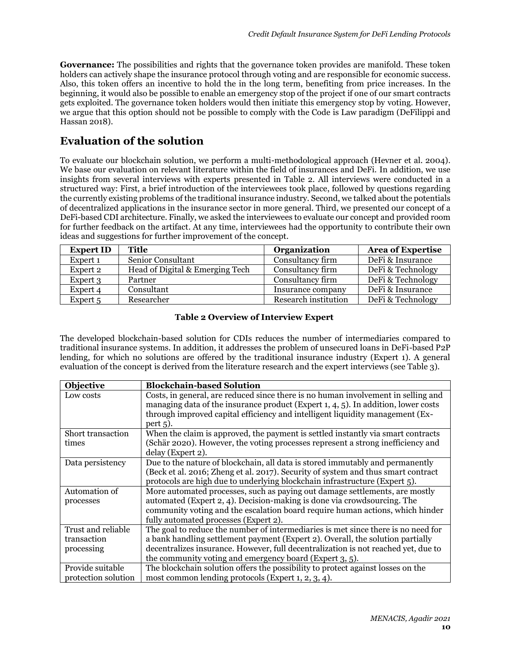**Governance:** The possibilities and rights that the governance token provides are manifold. These token holders can actively shape the insurance protocol through voting and are responsible for economic success. Also, this token offers an incentive to hold the in the long term, benefiting from price increases. In the beginning, it would also be possible to enable an emergency stop of the project if one of our smart contracts gets exploited. The governance token holders would then initiate this emergency stop by voting. However, we argue that this option should not be possible to comply with the Code is Law paradigm (DeFilippi and Hassan 2018).

## **Evaluation of the solution**

To evaluate our blockchain solution, we perform a multi-methodological approach (Hevner et al. 2004). We base our evaluation on relevant literature within the field of insurances and DeFi. In addition, we use insights from several interviews with experts presented in [Table 2.](#page-10-0) All interviews were conducted in a structured way: First, a brief introduction of the interviewees took place, followed by questions regarding the currently existing problems of the traditional insurance industry. Second, we talked about the potentials of decentralized applications in the insurance sector in more general. Third, we presented our concept of a DeFi-based CDI architecture. Finally, we asked the interviewees to evaluate our concept and provided room for further feedback on the artifact. At any time, interviewees had the opportunity to contribute their own ideas and suggestions for further improvement of the concept.

| <b>Expert ID</b> | <b>Title</b>                    | <b>Organization</b>  | <b>Area of Expertise</b> |
|------------------|---------------------------------|----------------------|--------------------------|
| Expert 1         | Senior Consultant               | Consultancy firm     | DeFi & Insurance         |
| Expert 2         | Head of Digital & Emerging Tech | Consultancy firm     | DeFi & Technology        |
| Expert 3         | Partner                         | Consultancy firm     | DeFi & Technology        |
| Expert 4         | Consultant                      | Insurance company    | DeFi & Insurance         |
| Expert 5         | Researcher                      | Research institution | DeFi & Technology        |

### <span id="page-10-0"></span>**Table 2 Overview of Interview Expert**

The developed blockchain-based solution for CDIs reduces the number of intermediaries compared to traditional insurance systems. In addition, it addresses the problem of unsecured loans in DeFi-based P2P lending, for which no solutions are offered by the traditional insurance industry (Expert 1). A general evaluation of the concept is derived from the literature research and the expert interviews (see Table 3).

| Objective           | <b>Blockchain-based Solution</b>                                                     |  |
|---------------------|--------------------------------------------------------------------------------------|--|
| Low costs           | Costs, in general, are reduced since there is no human involvement in selling and    |  |
|                     | managing data of the insurance product (Expert $1, 4, 5$ ). In addition, lower costs |  |
|                     | through improved capital efficiency and intelligent liquidity management (Ex-        |  |
|                     | $pert$ 5).                                                                           |  |
| Short transaction   | When the claim is approved, the payment is settled instantly via smart contracts     |  |
| times               | (Schär 2020). However, the voting processes represent a strong inefficiency and      |  |
|                     | delay (Expert 2).                                                                    |  |
| Data persistency    | Due to the nature of blockchain, all data is stored immutably and permanently        |  |
|                     | (Beck et al. 2016; Zheng et al. 2017). Security of system and thus smart contract    |  |
|                     | protocols are high due to underlying blockchain infrastructure (Expert 5).           |  |
| Automation of       | More automated processes, such as paying out damage settlements, are mostly          |  |
| processes           | automated (Expert 2, 4). Decision-making is done via crowdsourcing. The              |  |
|                     | community voting and the escalation board require human actions, which hinder        |  |
|                     | fully automated processes (Expert 2).                                                |  |
| Trust and reliable  | The goal to reduce the number of intermediaries is met since there is no need for    |  |
| transaction         | a bank handling settlement payment (Expert 2). Overall, the solution partially       |  |
| processing          | decentralizes insurance. However, full decentralization is not reached yet, due to   |  |
|                     | the community voting and emergency board (Expert 3, 5).                              |  |
| Provide suitable    | The blockchain solution offers the possibility to protect against losses on the      |  |
| protection solution | most common lending protocols (Expert 1, 2, 3, 4).                                   |  |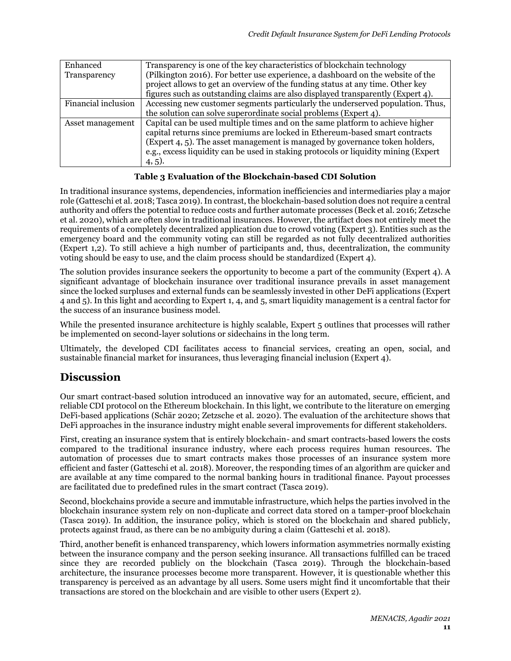| Enhanced            | Transparency is one of the key characteristics of blockchain technology             |
|---------------------|-------------------------------------------------------------------------------------|
| Transparency        | (Pilkington 2016). For better use experience, a dashboard on the website of the     |
|                     | project allows to get an overview of the funding status at any time. Other key      |
|                     | figures such as outstanding claims are also displayed transparently (Expert 4).     |
| Financial inclusion | Accessing new customer segments particularly the underserved population. Thus,      |
|                     | the solution can solve superordinate social problems (Expert 4).                    |
| Asset management    | Capital can be used multiple times and on the same platform to achieve higher       |
|                     | capital returns since premiums are locked in Ethereum-based smart contracts         |
|                     | (Expert 4, 5). The asset management is managed by governance token holders,         |
|                     | e.g., excess liquidity can be used in staking protocols or liquidity mining (Expert |
|                     | $(4, 5)$ .                                                                          |

### **Table 3 Evaluation of the Blockchain-based CDI Solution**

In traditional insurance systems, dependencies, information inefficiencies and intermediaries play a major role (Gatteschi et al. 2018; Tasca 2019).In contrast, the blockchain-based solution does not require a central authority and offers the potential to reduce costs and further automate processes (Beck et al. 2016; Zetzsche et al. 2020), which are often slow in traditional insurances. However, the artifact does not entirely meet the requirements of a completely decentralized application due to crowd voting (Expert 3). Entities such as the emergency board and the community voting can still be regarded as not fully decentralized authorities (Expert 1,2). To still achieve a high number of participants and, thus, decentralization, the community voting should be easy to use, and the claim process should be standardized (Expert 4).

The solution provides insurance seekers the opportunity to become a part of the community (Expert 4). A significant advantage of blockchain insurance over traditional insurance prevails in asset management since the locked surpluses and external funds can be seamlessly invested in other DeFi applications (Expert 4 and 5). In this light and according to Expert 1, 4, and 5, smart liquidity management is a central factor for the success of an insurance business model.

While the presented insurance architecture is highly scalable, Expert 5 outlines that processes will rather be implemented on second-layer solutions or sidechains in the long term.

Ultimately, the developed CDI facilitates access to financial services, creating an open, social, and sustainable financial market for insurances, thus leveraging financial inclusion (Expert 4).

## **Discussion**

Our smart contract-based solution introduced an innovative way for an automated, secure, efficient, and reliable CDI protocol on the Ethereum blockchain. In this light, we contribute to the literature on emerging DeFi-based applications (Schär 2020; Zetzsche et al. 2020). The evaluation of the architecture shows that DeFi approaches in the insurance industry might enable several improvements for different stakeholders.

First, creating an insurance system that is entirely blockchain- and smart contracts-based lowers the costs compared to the traditional insurance industry, where each process requires human resources. The automation of processes due to smart contracts makes those processes of an insurance system more efficient and faster (Gatteschi et al. 2018). Moreover, the responding times of an algorithm are quicker and are available at any time compared to the normal banking hours in traditional finance. Payout processes are facilitated due to predefined rules in the smart contract (Tasca 2019).

Second, blockchains provide a secure and immutable infrastructure, which helps the parties involved in the blockchain insurance system rely on non-duplicate and correct data stored on a tamper-proof blockchain (Tasca 2019). In addition, the insurance policy, which is stored on the blockchain and shared publicly, protects against fraud, as there can be no ambiguity during a claim (Gatteschi et al. 2018).

Third, another benefit is enhanced transparency, which lowers information asymmetries normally existing between the insurance company and the person seeking insurance. All transactions fulfilled can be traced since they are recorded publicly on the blockchain (Tasca 2019). Through the blockchain-based architecture, the insurance processes become more transparent. However, it is questionable whether this transparency is perceived as an advantage by all users. Some users might find it uncomfortable that their transactions are stored on the blockchain and are visible to other users (Expert 2).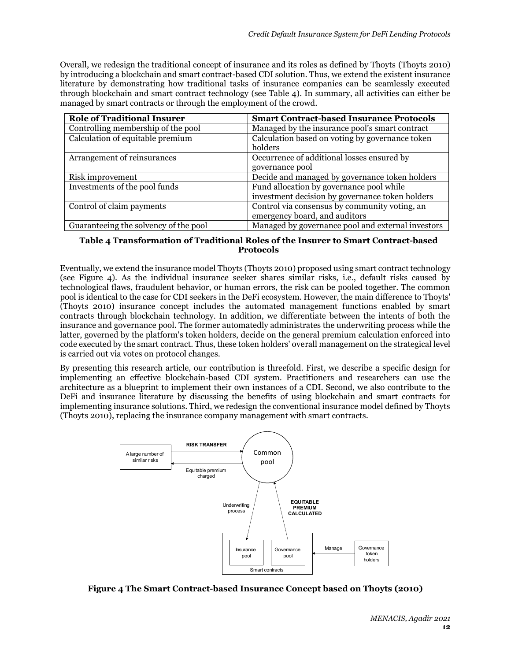Overall, we redesign the traditional concept of insurance and its roles as defined by Thoyts (Thoyts 2010) by introducing a blockchain and smart contract-based CDI solution. Thus, we extend the existent insurance literature by demonstrating how traditional tasks of insurance companies can be seamlessly executed through blockchain and smart contract technology (see [Table 4\)](#page-12-0). In summary, all activities can either be managed by smart contracts or through the employment of the crowd.

| <b>Role of Traditional Insurer</b>    | <b>Smart Contract-based Insurance Protocols</b>   |
|---------------------------------------|---------------------------------------------------|
| Controlling membership of the pool    | Managed by the insurance pool's smart contract    |
| Calculation of equitable premium      | Calculation based on voting by governance token   |
|                                       | holders                                           |
| Arrangement of reinsurances           | Occurrence of additional losses ensured by        |
|                                       | governance pool                                   |
| Risk improvement                      | Decide and managed by governance token holders    |
| Investments of the pool funds         | Fund allocation by governance pool while          |
|                                       | investment decision by governance token holders   |
| Control of claim payments             | Control via consensus by community voting, an     |
|                                       | emergency board, and auditors                     |
| Guaranteeing the solvency of the pool | Managed by governance pool and external investors |

#### <span id="page-12-0"></span>**Table 4 Transformation of Traditional Roles of the Insurer to Smart Contract-based Protocols**

Eventually, we extend the insurance model Thoyts (Thoyts 2010) proposed using smart contract technology (see [Figure 4\)](#page-12-1). As the individual insurance seeker shares similar risks, i.e., default risks caused by technological flaws, fraudulent behavior, or human errors, the risk can be pooled together. The common pool is identical to the case for CDI seekers in the DeFi ecosystem. However, the main difference to Thoyts' (Thoyts 2010) insurance concept includes the automated management functions enabled by smart contracts through blockchain technology. In addition, we differentiate between the intents of both the insurance and governance pool. The former automatedly administrates the underwriting process while the latter, governed by the platform's token holders, decide on the general premium calculation enforced into code executed by the smart contract. Thus, these token holders' overall management on the strategical level is carried out via votes on protocol changes.

By presenting this research article, our contribution is threefold. First, we describe a specific design for implementing an effective blockchain-based CDI system. Practitioners and researchers can use the architecture as a blueprint to implement their own instances of a CDI. Second, we also contribute to the DeFi and insurance literature by discussing the benefits of using blockchain and smart contracts for implementing insurance solutions. Third, we redesign the conventional insurance model defined by Thoyts (Thoyts 2010), replacing the insurance company management with smart contracts.



<span id="page-12-1"></span>**Figure 4 The Smart Contract-based Insurance Concept based on Thoyts (2010)**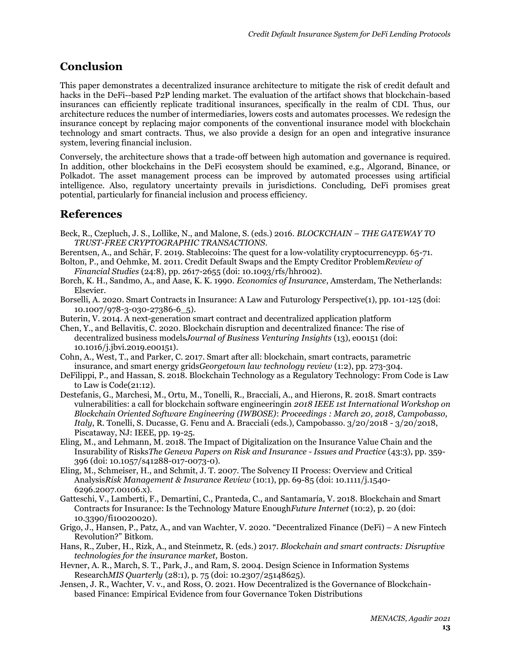## **Conclusion**

This paper demonstrates a decentralized insurance architecture to mitigate the risk of credit default and hacks in the DeFi--based P2P lending market. The evaluation of the artifact shows that blockchain-based insurances can efficiently replicate traditional insurances, specifically in the realm of CDI. Thus, our architecture reduces the number of intermediaries, lowers costs and automates processes. We redesign the insurance concept by replacing major components of the conventional insurance model with blockchain technology and smart contracts. Thus, we also provide a design for an open and integrative insurance system, levering financial inclusion.

Conversely, the architecture shows that a trade-off between high automation and governance is required. In addition, other blockchains in the DeFi ecosystem should be examined, e.g., Algorand, Binance, or Polkadot. The asset management process can be improved by automated processes using artificial intelligence. Also, regulatory uncertainty prevails in jurisdictions. Concluding, DeFi promises great potential, particularly for financial inclusion and process efficiency.

## **References**

- Beck, R., Czepluch, J. S., Lollike, N., and Malone, S. (eds.) 2016. *BLOCKCHAIN – THE GATEWAY TO TRUST-FREE CRYPTOGRAPHIC TRANSACTIONS*.
- Berentsen, A., and Schär, F. 2019. Stablecoins: The quest for a low-volatility cryptocurrencypp. 65-71.
- Bolton, P., and Oehmke, M. 2011. Credit Default Swaps and the Empty Creditor Problem*Review of Financial Studies* (24:8), pp. 2617-2655 (doi: 10.1093/rfs/hhr002).
- Borch, K. H., Sandmo, A., and Aase, K. K. 1990. *Economics of Insurance*, Amsterdam, The Netherlands: Elsevier.
- Borselli, A. 2020. Smart Contracts in Insurance: A Law and Futurology Perspective(1), pp. 101-125 (doi: 10.1007/978-3-030-27386-6\_5).
- Buterin, V. 2014. A next-generation smart contract and decentralized application platform
- Chen, Y., and Bellavitis, C. 2020. Blockchain disruption and decentralized finance: The rise of decentralized business models*Journal of Business Venturing Insights* (13), e00151 (doi: 10.1016/j.jbvi.2019.e00151).
- Cohn, A., West, T., and Parker, C. 2017. Smart after all: blockchain, smart contracts, parametric insurance, and smart energy grids*Georgetown law technology review* (1:2), pp. 273-304.
- DeFilippi, P., and Hassan, S. 2018. Blockchain Technology as a Regulatory Technology: From Code is Law to Law is Code(21:12).
- Destefanis, G., Marchesi, M., Ortu, M., Tonelli, R., Bracciali, A., and Hierons, R. 2018. Smart contracts vulnerabilities: a call for blockchain software engineeringin *2018 IEEE 1st International Workshop on Blockchain Oriented Software Engineering (IWBOSE)*: *Proceedings : March 20, 2018, Campobasso, Italy*, R. Tonelli, S. Ducasse, G. Fenu and A. Bracciali (eds.), Campobasso. 3/20/2018 - 3/20/2018, Piscataway, NJ: IEEE, pp. 19-25.
- Eling, M., and Lehmann, M. 2018. The Impact of Digitalization on the Insurance Value Chain and the Insurability of Risks*The Geneva Papers on Risk and Insurance - Issues and Practice* (43:3), pp. 359- 396 (doi: 10.1057/s41288-017-0073-0).
- Eling, M., Schmeiser, H., and Schmit, J. T. 2007. The Solvency II Process: Overview and Critical Analysis*Risk Management & Insurance Review* (10:1), pp. 69-85 (doi: 10.1111/j.1540- 6296.2007.00106.x).
- Gatteschi, V., Lamberti, F., Demartini, C., Pranteda, C., and Santamaría, V. 2018. Blockchain and Smart Contracts for Insurance: Is the Technology Mature Enough*Future Internet* (10:2), p. 20 (doi: 10.3390/fi10020020).
- Grigo, J., Hansen, P., Patz, A., and van Wachter, V. 2020. "Decentralized Finance (DeFi) A new Fintech Revolution?" Bitkom.
- Hans, R., Zuber, H., Rizk, A., and Steinmetz, R. (eds.) 2017. *Blockchain and smart contracts: Disruptive technologies for the insurance market,* Boston.
- Hevner, A. R., March, S. T., Park, J., and Ram, S. 2004. Design Science in Information Systems Research*MIS Quarterly* (28:1), p. 75 (doi: 10.2307/25148625).
- Jensen, J. R., Wachter, V. v., and Ross, O. 2021. How Decentralized is the Governance of Blockchainbased Finance: Empirical Evidence from four Governance Token Distributions